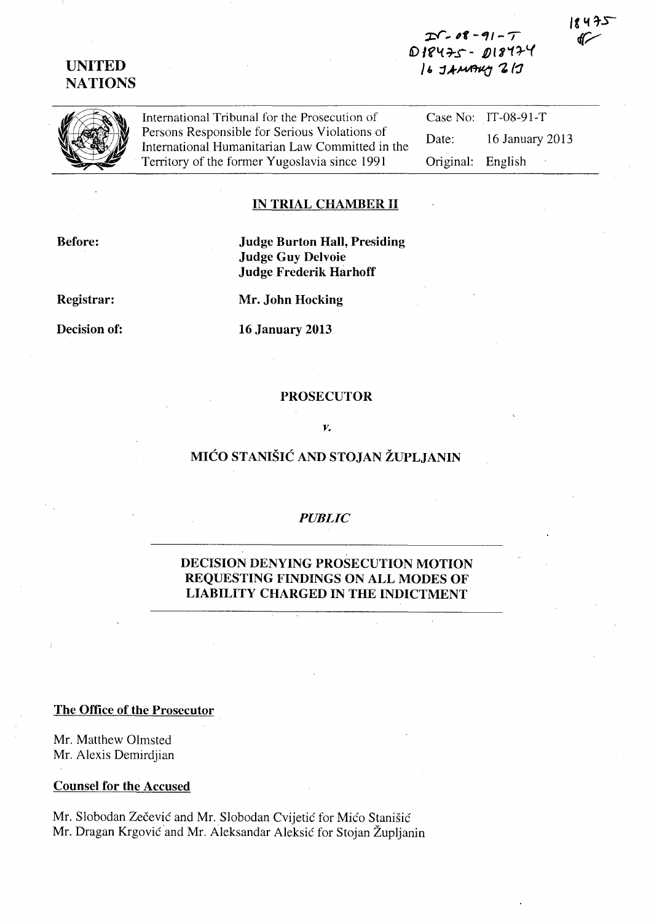# **UNITED NATIONS**

**:;::1"' .. 61 - Ill/ - T**  D18475 - D18474  $16$  JAMAKY 217

International Tribunal for the Prosecution of Persons Responsible for Serious Violations of International Humanitarian Law Committed in the Territory of the former Yugoslavia since 1991

Case No: IT-08-91-T Date: 16 January 2013 Original: English

### **IN TRIAL CHAMBER II**

**Judge Burton Hall, Presiding Judge Guy Delvoie Judge Frederik Harhoff** 

**Registrar:** 

**Before:** 

**Mr. John Hocking** 

**Decision of:** 

**16 January 2013** 

#### **PROSECUTOR**

### *v.*

# **MICO STANISIC AND STOJAN ZUPLJANIN**

## *PUBLIC*

# **DECISION DENYING PROSECUTION MOTION REQUESTING FINDINGS ON ALL MODES OF LIABILITY CHARGED IN THE INDICTMENT**

## **The Office of the Prosecutor**

Mr. Matthew Olmsted Mr. Alexis Demirdjian

### **Counsel for the Accused**

Mr. Slobodan Zečević and Mr. Slobodan Cvijetić for Mićo Stanišić Mr. Dragan Krgović and Mr. Aleksandar Aleksić for Stojan Župljanin 475